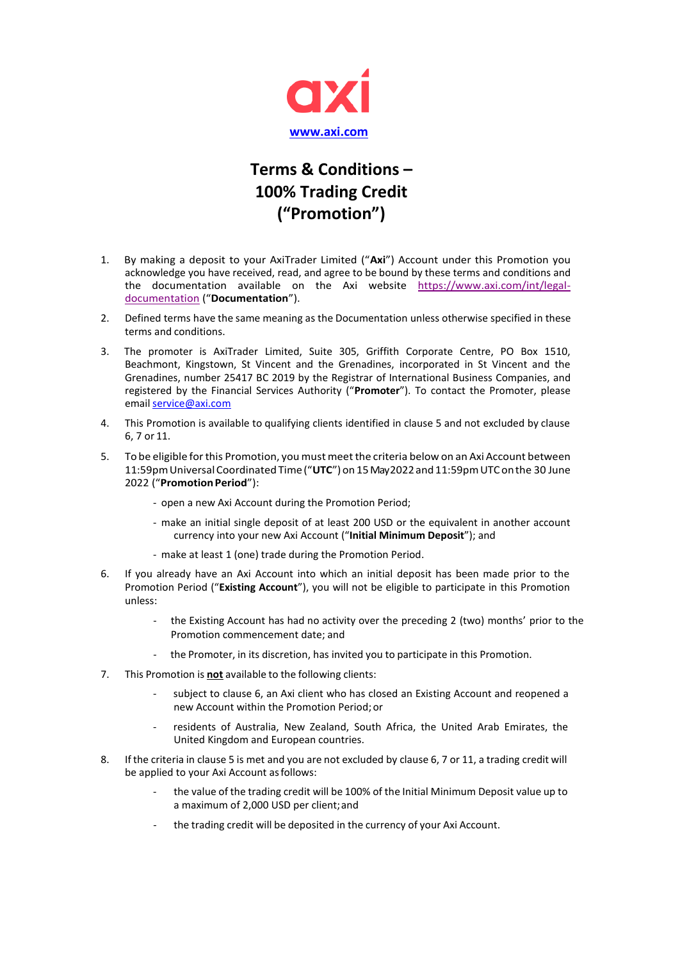

## **Terms & Conditions – 100% Trading Credit ("Promotion")**

- 1. By making a deposit to your AxiTrader Limited ("**Axi**") Account under this Promotion you acknowledge you have received, read, and agree to be bound by these terms and conditions and the documentation available on the Axi website [https://www.axi.com/int/legal](https://www.axi.com/int/legal-documentation)[documentation](https://www.axi.com/int/legal-documentation) ("**Documentation**").
- 2. Defined terms have the same meaning as the Documentation unless otherwise specified in these terms and conditions.
- 3. The promoter is AxiTrader Limited, Suite 305, Griffith Corporate Centre, PO Box 1510, Beachmont, Kingstown, St Vincent and the Grenadines, incorporated in St Vincent and the Grenadines, number 25417 BC 2019 by the Registrar of International Business Companies, and registered by the Financial Services Authority ("**Promoter**"). To contact the Promoter, please email [service@axi.com](mailto:service@axi.com)
- 4. This Promotion is available to qualifying clients identified in clause 5 and not excluded by clause 6, 7 or 11.
- 5. To be eligible forthis Promotion, you must meetthe criteria below on an Axi Account between 11:59pmUniversalCoordinated Time("**UTC**")on 15May2022and11:59pmUTConthe 30 June 2022 ("Promotion Period"):
	- ‐ open a new Axi Account during the Promotion Period;
	- ‐ make an initial single deposit of at least 200 USD or the equivalent in another account currency into your new Axi Account ("**Initial Minimum Deposit**"); and
	- ‐ make at least 1 (one) trade during the Promotion Period.
- 6. If you already have an Axi Account into which an initial deposit has been made prior to the Promotion Period ("**Existing Account**"), you will not be eligible to participate in this Promotion unless:
	- ‐ the Existing Account has had no activity over the preceding 2 (two) months' prior to the Promotion commencement date; and
	- the Promoter, in its discretion, has invited you to participate in this Promotion.
- 7. This Promotion is **not** available to the following clients:
	- subject to clause 6, an Axi client who has closed an Existing Account and reopened a new Account within the Promotion Period;or
	- residents of Australia, New Zealand, South Africa, the United Arab Emirates, the United Kingdom and European countries.
- 8. If the criteria in clause 5 is met and you are not excluded by clause 6, 7 or 11, a trading credit will be applied to your Axi Account asfollows:
	- ‐ the value of the trading credit will be 100% of the Initial Minimum Deposit value up to a maximum of 2,000 USD per client;and
	- the trading credit will be deposited in the currency of your Axi Account.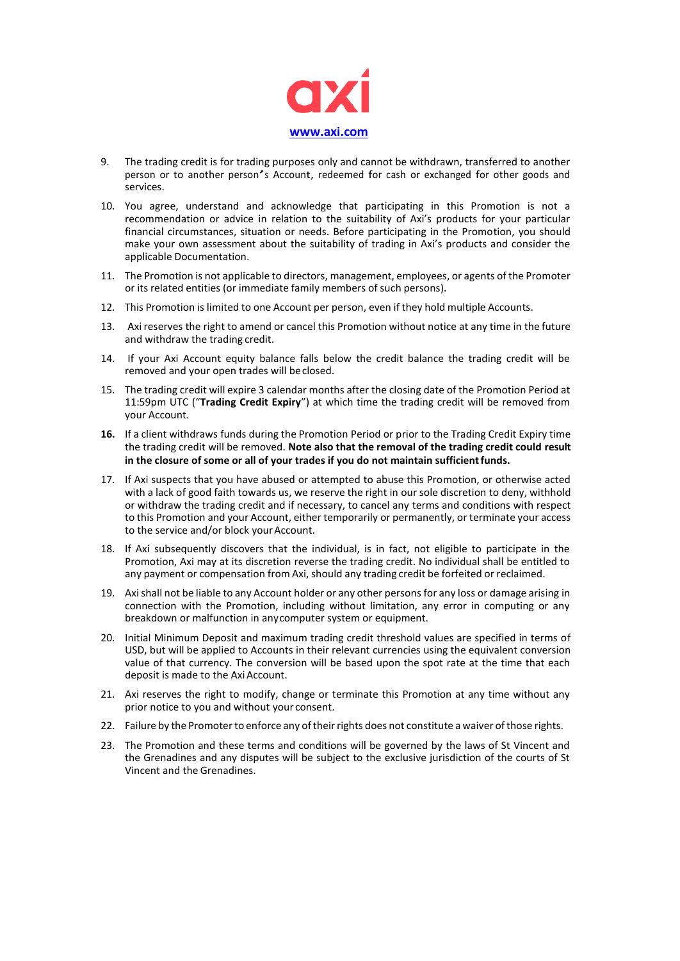

- 9. The trading credit is for trading purposes only and cannot be withdrawn, transferred to another person or to another person'<sup>s</sup> Account, redeemed for cash or exchanged for other goods and services.
- 10. You agree, understand and acknowledge that participating in this Promotion is not a recommendation or advice in relation to the suitability of Axi's products for your particular financial circumstances, situation or needs. Before participating in the Promotion, you should make your own assessment about the suitability of trading in Axi's products and consider the applicable Documentation.
- 11. The Promotion is not applicable to directors, management, employees, or agents of the Promoter or its related entities (or immediate family members of such persons).
- 12. This Promotion is limited to one Account per person, even if they hold multiple Accounts.
- 13. Axi reserves the right to amend or cancel this Promotion without notice at any time in the future and withdraw the trading credit.
- 14. If your Axi Account equity balance falls below the credit balance the trading credit will be removed and your open trades will beclosed.
- 15. The trading credit will expire 3 calendar months after the closing date of the Promotion Period at 11:59pm UTC ("**Trading Credit Expiry**") at which time the trading credit will be removed from your Account.
- **16.** If a client withdraws funds during the Promotion Period or prior to the Trading Credit Expiry time the trading credit will be removed. **Note also that the removal of the trading credit could result in the closure of some or all of your trades if you do not maintain sufficientfunds.**
- 17. If Axi suspects that you have abused or attempted to abuse this Promotion, or otherwise acted with a lack of good faith towards us, we reserve the right in our sole discretion to deny, withhold or withdraw the trading credit and if necessary, to cancel any terms and conditions with respect to this Promotion and your Account, either temporarily or permanently, or terminate your access to the service and/or block your Account.
- 18. If Axi subsequently discovers that the individual, is in fact, not eligible to participate in the Promotion, Axi may at its discretion reverse the trading credit. No individual shall be entitled to any payment or compensation from Axi, should any trading credit be forfeited or reclaimed.
- 19. Axishall not be liable to any Account holder or any other persons for any loss or damage arising in connection with the Promotion, including without limitation, any error in computing or any breakdown or malfunction in anycomputer system or equipment.
- 20. Initial Minimum Deposit and maximum trading credit threshold values are specified in terms of USD, but will be applied to Accounts in their relevant currencies using the equivalent conversion value of that currency. The conversion will be based upon the spot rate at the time that each deposit is made to the Axi Account.
- 21. Axi reserves the right to modify, change or terminate this Promotion at any time without any prior notice to you and without your consent.
- 22. Failure by the Promoter to enforce any of their rights does not constitute a waiver of those rights.
- 23. The Promotion and these terms and conditions will be governed by the laws of St Vincent and the Grenadines and any disputes will be subject to the exclusive jurisdiction of the courts of St Vincent and the Grenadines.